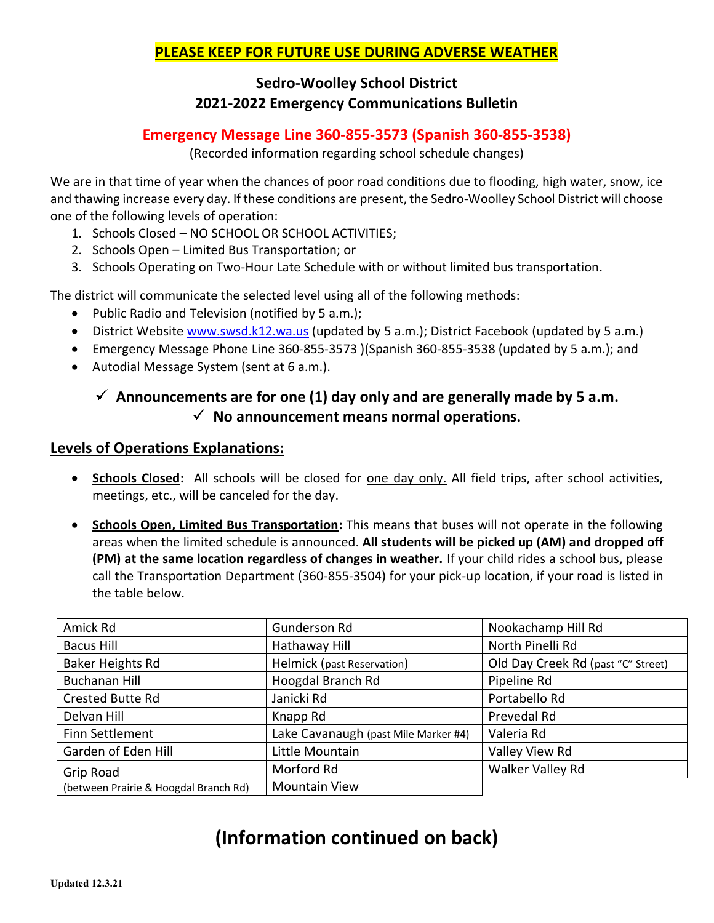## **PLEASE KEEP FOR FUTURE USE DURING ADVERSE WEATHER**

# **Sedro-Woolley School District 2021-2022 Emergency Communications Bulletin**

### **Emergency Message Line 360-855-3573 (Spanish 360-855-3538)**

(Recorded information regarding school schedule changes)

We are in that time of year when the chances of poor road conditions due to flooding, high water, snow, ice and thawing increase every day. If these conditions are present, the Sedro-Woolley School District will choose one of the following levels of operation:

- 1. Schools Closed NO SCHOOL OR SCHOOL ACTIVITIES;
- 2. Schools Open Limited Bus Transportation; or
- 3. Schools Operating on Two-Hour Late Schedule with or without limited bus transportation.

The district will communicate the selected level using all of the following methods:

- Public Radio and Television (notified by 5 a.m.);
- District Website [www.swsd.k12.wa.us](http://www.swsd.k12.wa.us/) (updated by 5 a.m.); District Facebook (updated by 5 a.m.)
- Emergency Message Phone Line 360-855-3573 )(Spanish 360-855-3538 (updated by 5 a.m.); and
- Autodial Message System (sent at 6 a.m.).

# $\checkmark$  Announcements are for one (1) day only and are generally made by 5 a.m.  $\checkmark$  No announcement means normal operations.

#### **Levels of Operations Explanations:**

- **Schools Closed:** All schools will be closed for one day only. All field trips, after school activities, meetings, etc., will be canceled for the day.
- **Schools Open, Limited Bus Transportation:** This means that buses will not operate in the following areas when the limited schedule is announced. **All students will be picked up (AM) and dropped off (PM) at the same location regardless of changes in weather.** If your child rides a school bus, please call the Transportation Department (360-855-3504) for your pick-up location, if your road is listed in the table below.

| Amick Rd                              | <b>Gunderson Rd</b>                  | Nookachamp Hill Rd                 |
|---------------------------------------|--------------------------------------|------------------------------------|
| <b>Bacus Hill</b>                     | Hathaway Hill                        | North Pinelli Rd                   |
| Baker Heights Rd                      | Helmick (past Reservation)           | Old Day Creek Rd (past "C" Street) |
| <b>Buchanan Hill</b>                  | Hoogdal Branch Rd                    | Pipeline Rd                        |
| <b>Crested Butte Rd</b>               | Janicki Rd                           | Portabello Rd                      |
| Delvan Hill                           | Knapp Rd                             | Prevedal Rd                        |
| Finn Settlement                       | Lake Cavanaugh (past Mile Marker #4) | Valeria Rd                         |
| Garden of Eden Hill                   | Little Mountain                      | Valley View Rd                     |
| Grip Road                             | Morford Rd                           | Walker Valley Rd                   |
| (between Prairie & Hoogdal Branch Rd) | <b>Mountain View</b>                 |                                    |

# **(Information continued on back)**